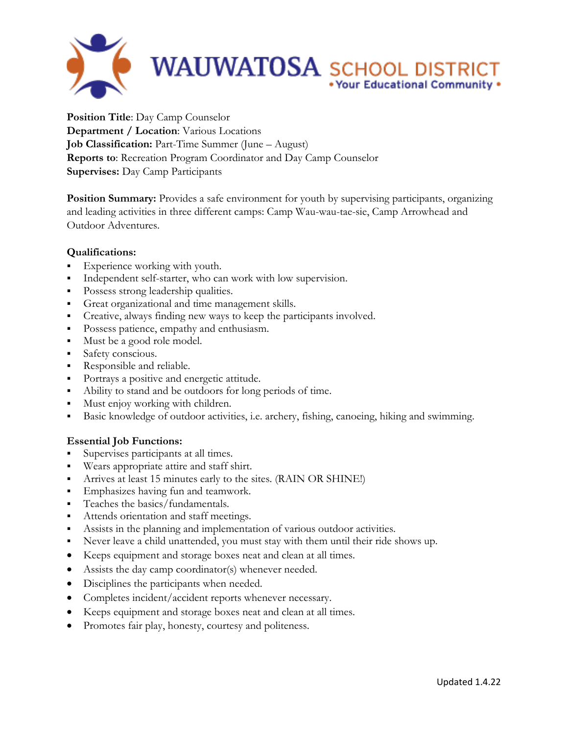

**Position Title**: Day Camp Counselor **Department / Location**: Various Locations **Job Classification:** Part-Time Summer (June – August) **Reports to**: Recreation Program Coordinator and Day Camp Counselor **Supervises:** Day Camp Participants

**Position Summary:** Provides a safe environment for youth by supervising participants, organizing and leading activities in three different camps: Camp Wau-wau-tae-sie, Camp Arrowhead and Outdoor Adventures.

## **Qualifications:**

- Experience working with youth.
- Independent self-starter, who can work with low supervision.
- Possess strong leadership qualities.
- Great organizational and time management skills.
- Creative, always finding new ways to keep the participants involved.
- Possess patience, empathy and enthusiasm.
- Must be a good role model.
- Safety conscious.
- Responsible and reliable.
- Portrays a positive and energetic attitude.
- Ability to stand and be outdoors for long periods of time.
- **Must enjoy working with children.**
- Basic knowledge of outdoor activities, i.e. archery, fishing, canoeing, hiking and swimming.

## **Essential Job Functions:**

- Supervises participants at all times.
- Wears appropriate attire and staff shirt.
- Arrives at least 15 minutes early to the sites. (RAIN OR SHINE!)
- **Emphasizes having fun and teamwork.**
- Teaches the basics/fundamentals.
- Attends orientation and staff meetings.
- Assists in the planning and implementation of various outdoor activities.
- Never leave a child unattended, you must stay with them until their ride shows up.
- Keeps equipment and storage boxes neat and clean at all times.
- Assists the day camp coordinator(s) whenever needed.
- Disciplines the participants when needed.
- Completes incident/accident reports whenever necessary.
- Keeps equipment and storage boxes neat and clean at all times.
- Promotes fair play, honesty, courtesy and politeness.